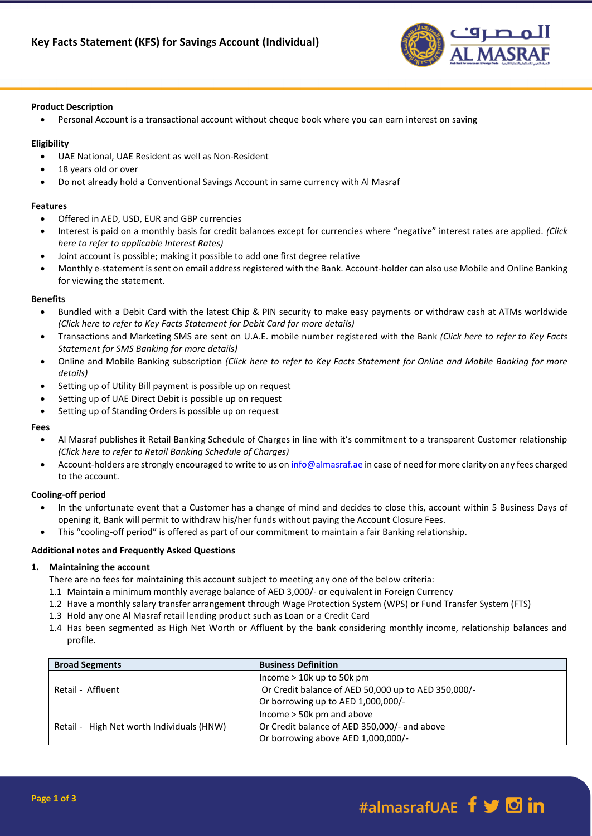

### **Product Description**

Personal Account is a transactional account without cheque book where you can earn interest on saving

### **Eligibility**

- UAE National, UAE Resident as well as Non-Resident
- 18 years old or over
- Do not already hold a Conventional Savings Account in same currency with Al Masraf

### **Features**

- Offered in AED, USD, EUR and GBP currencies
- Interest is paid on a monthly basis for credit balances except for currencies where "negative" interest rates are applied. *(Click here to refer to applicable Interest Rates)*
- Joint account is possible; making it possible to add one first degree relative
- Monthly e-statement is sent on email address registered with the Bank. Account-holder can also use Mobile and Online Banking for viewing the statement.

### **Benefits**

- Bundled with a Debit Card with the latest Chip & PIN security to make easy payments or withdraw cash at ATMs worldwide *(Click here to refer to Key Facts Statement for Debit Card for more details)*
- Transactions and Marketing SMS are sent on U.A.E. mobile number registered with the Bank *(Click here to refer to Key Facts Statement for SMS Banking for more details)*
- Online and Mobile Banking subscription *(Click here to refer to Key Facts Statement for Online and Mobile Banking for more details)*
- Setting up of Utility Bill payment is possible up on request
- Setting up of UAE Direct Debit is possible up on request
- Setting up of Standing Orders is possible up on request

### **Fees**

- Al Masraf publishes it Retail Banking Schedule of Charges in line with it's commitment to a transparent Customer relationship *(Click here to refer to Retail Banking Schedule of Charges)*
- Account-holders are strongly encouraged to write to us o[n info@almasraf.ae](mailto:info@almasraf.ae) in case of need for more clarity on any fees charged to the account.

# **Cooling-off period**

- In the unfortunate event that a Customer has a change of mind and decides to close this, account within 5 Business Days of opening it, Bank will permit to withdraw his/her funds without paying the Account Closure Fees.
- This "cooling-off period" is offered as part of our commitment to maintain a fair Banking relationship.

# **Additional notes and Frequently Asked Questions**

# **1. Maintaining the account**

There are no fees for maintaining this account subject to meeting any one of the below criteria:

- 1.1 Maintain a minimum monthly average balance of AED 3,000/- or equivalent in Foreign Currency
- 1.2 Have a monthly salary transfer arrangement through Wage Protection System (WPS) or Fund Transfer System (FTS)
- 1.3 Hold any one Al Masraf retail lending product such as Loan or a Credit Card
- 1.4 Has been segmented as High Net Worth or Affluent by the bank considering monthly income, relationship balances and profile.

| <b>Broad Segments</b>                     | <b>Business Definition</b>                          |
|-------------------------------------------|-----------------------------------------------------|
| Retail - Affluent                         | Income $> 10k$ up to 50k pm                         |
|                                           | Or Credit balance of AED 50,000 up to AED 350,000/- |
|                                           | Or borrowing up to AED 1,000,000/-                  |
| Retail - High Net worth Individuals (HNW) | Income $>$ 50 $k$ pm and above                      |
|                                           | Or Credit balance of AED 350,000/- and above        |
|                                           | Or borrowing above AED 1,000,000/-                  |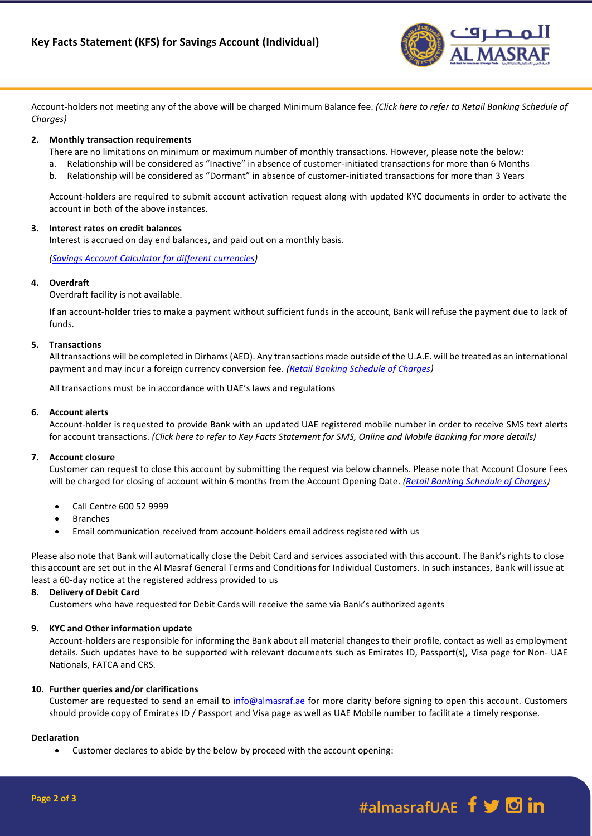

Account-holders not meeting any of the above will be charged Minimum Balance fee. *(Click here to refer to Retail Banking Schedule of Charges)*

### **2. Monthly transaction requirements**

- There are no limitations on minimum or maximum number of monthly transactions. However, please note the below:
- a. Relationship will be considered as "Inactive" in absence of customer-initiated transactions for more than 6 Months
- b. Relationship will be considered as "Dormant" in absence of customer-initiated transactions for more than 3 Years

Account-holders are required to submit account activation request along with updated KYC documents in order to activate the account in both of the above instances.

### **3. Interest rates on credit balances**

Interest is accrued on day end balances, and paid out on a monthly basis.

*[\(Savings Account Calculator](https://almasraf.ae/calculators) for different currencies)*

### **4. Overdraft**

Overdraft facility is not available.

If an account-holder tries to make a payment without sufficient funds in the account, Bank will refuse the payment due to lack of funds.

### **5. Transactions**

All transactions will be completed in Dirhams (AED). Any transactions made outside of the U.A.E. will be treated as an international payment and may incur a foreign currency conversion fee. *[\(Retail Banking Schedule of Charges\)](https://almasraf.ae/pdf/Schedule_of_Charges_Personal_Banking.pdf)*

All transactions must be in accordance with UAE's laws and regulations

#### **6. Account alerts**

Account-holder is requested to provide Bank with an updated UAE registered mobile number in order to receive SMS text alerts for account transactions. *(Click here to refer to Key Facts Statement for SMS, Online and Mobile Banking for more details)*

### **7. Account closure**

Customer can request to close this account by submitting the request via below channels. Please note that Account Closure Fees will be charged for closing of account within 6 months from the Account Opening Date. *[\(Retail Banking Schedule of Charges\)](https://almasraf.ae/pdf/Schedule_of_Charges_Personal_Banking.pdf)*

- Call Centre 600 52 9999
- Branches
- Email communication received from account-holders email address registered with us

Please also note that Bank will automatically close the Debit Card and services associated with this account. The Bank's rights to close this account are set out in the Al Masraf General Terms and Conditions for Individual Customers. In such instances, Bank will issue at least a 60-day notice at the registered address provided to us

# **8. Delivery of Debit Card**

Customers who have requested for Debit Cards will receive the same via Bank's authorized agents

### **9. KYC and Other information update**

Account-holders are responsible for informing the Bank about all material changes to their profile, contact as well as employment details. Such updates have to be supported with relevant documents such as Emirates ID, Passport(s), Visa page for Non- UAE Nationals, FATCA and CRS.

# **10. Further queries and/or clarifications**

Customer are requested to send an email to  $info@almasraf.ae$  for more clarity before signing to open this account. Customers should provide copy of Emirates ID / Passport and Visa page as well as UAE Mobile number to facilitate a timely response.

#### **Declaration**

Customer declares to abide by the below by proceed with the account opening: